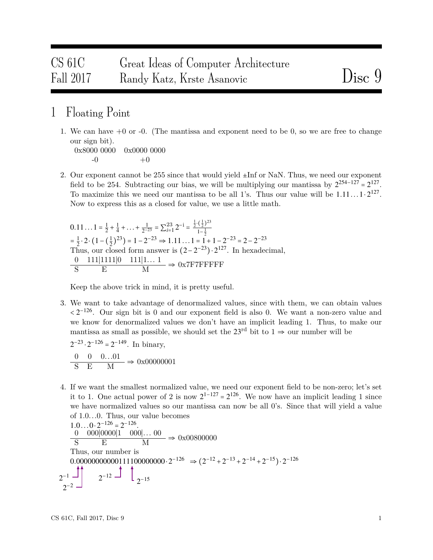## CS 61C Great Ideas of Computer Architecture Fall 2017 Randy Katz, Krste Asanovic Disc 9

## 1 Floating Point

1. We can have  $+0$  or  $-0$ . (The mantissa and exponent need to be 0, so we are free to change our sign bit).

0x8000 0000 0x0000 0000  $-0$   $+0$ 

2. Our exponent cannot be 255 since that would yield ±Inf or NaN. Thus, we need our exponent field to be 254. Subtracting our bias, we will be multiplying our mantissa by  $2^{254-127} = 2^{127}$ . To maximize this we need our mantissa to be all 1's. Thus our value will be  $1.11...1 \cdot 2^{127}$ . Now to express this as a closed for value, we use a little math.

$$
0.11... 1 = \frac{1}{2} + \frac{1}{4} + ... + \frac{1}{2^{-23}} = \sum_{i=1}^{23} 2^{-i} = \frac{\frac{1}{2} \cdot (\frac{1}{2})^{23}}{1 - \frac{1}{2}}
$$
  
=  $\frac{1}{2} \cdot 2 \cdot (1 - (\frac{1}{2})^{23}) = 1 - 2^{-23} \Rightarrow 1.11... 1 = 1 + 1 - 2^{-23} = 2 - 2^{-23}$   
Thus, our closed form answer is  $(2 - 2^{-23}) \cdot 2^{127}$ . In hexadecimal,  
 $\frac{0}{S}$  111|111|0 111|1... 1  $\Rightarrow$  0x7F7FFFFF

Keep the above trick in mind, it is pretty useful.

3. We want to take advantage of denormalized values, since with them, we can obtain values  $\langle 2^{-126}$ . Our sign bit is 0 and our exponent field is also 0. We want a non-zero value and we know for denormalized values we don't have an implicit leading 1. Thus, to make our mantissa as small as possible, we should set the  $23^{\text{rd}}$  bit to  $1 \Rightarrow$  our number will be

 $2^{-23} \cdot 2^{-126} = 2^{-149}$ . In binary,

 $\frac{0}{\text{S}} \quad \frac{0}{\text{E}} \quad \frac{0.01}{\text{M}} \Rightarrow 0 \times 00000001$ 

4. If we want the smallest normalized value, we need our exponent field to be non-zero; let's set it to 1. One actual power of 2 is now  $2^{1-127} = 2^{126}$ . We now have an implicit leading 1 since we have normalized values so our mantissa can now be all 0's. Since that will yield a value of 1.0*...*0. Thus, our value becomes

 $1.0...0 \cdot 2^{-126} = 2^{-126}$ .<br>0.00000001 000  $\frac{-126}{2} = 2^{-126}$ 0 000∣0000∣1 000∣*...* 00  $\frac{\text{S}}{\text{S}}$  E M  $\Rightarrow$  0x00800000 Thus, our number is 0.00000000000111100000000⋅2<sup>-126</sup>  $\Rightarrow$  (2<sup>-12</sup> + 2<sup>-13</sup> + 2<sup>-14</sup> + 2<sup>-15</sup>)⋅2<sup>-126</sup>  $2^{-1}$ 2 −2  $2^{-12}$  d  $2^{-15}$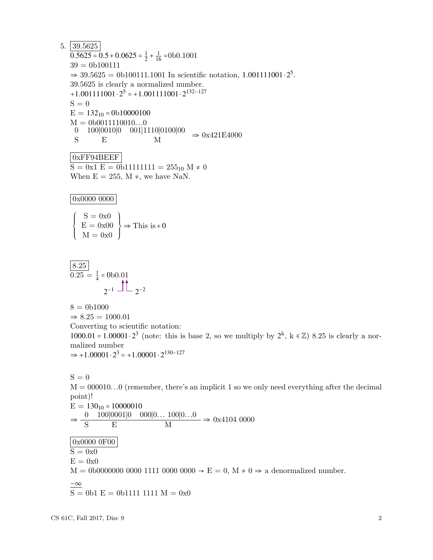$5. |39.5625|$  $\overline{0.5625} = 0.5 + 0.0625 = \frac{1}{2}$  $\frac{1}{2} + \frac{1}{16} = 0$ b $0.1001$  $39 = 0b100111$  $\Rightarrow$  39.5625 = 0b100111.1001 In scientific notation, 1.001111001 · 2<sup>5</sup>. 39.5625 is clearly a normalized number. +1*.*001111001⋅2 <sup>5</sup> <sup>=</sup> <sup>+</sup>1*.*001111001⋅<sup>2</sup> 132−127  $S = 0$  $E = 132_{10} = 0b10000100$ M = 0b0011110010*...*0 0 100|0010|0 001|1110|0100|00<br>S E M S E M  $\Rightarrow$  0x421E4000 0xFF94BEEF  $S = 0x1 E = 0b11111111 = 255<sub>10</sub> M \neq 0$ When  $E = 255$ ,  $M \neq$ , we have NaN. 0x0000 0000  $\left\{\begin{matrix} \frac{1}{\sqrt{2\pi}} & \frac{1}{\sqrt{2\pi}} \\ \frac{1}{\sqrt{2\pi}} & \frac{1}{\sqrt{2\pi}} \\ \frac{1}{\sqrt{2\pi}} & \frac{1}{\sqrt{2\pi}} \end{matrix}\right\}$  $S = 0x0$  $E = 0x00$  $M = 0x0$  $\begin{cases} \end{cases}$  $\Rightarrow$  This is +0 8.25  $\overline{0.25} = \frac{1}{4} = 0$ b $0.01$  $2^{-1}$   $-1$   $2^{-2}$ 

 $8 = 0b1000$  $\Rightarrow 8.25 = 1000.01$ Converting to scientific notation: 1000.01 = 1.00001  $\cdot 2^3$  (note: this is base 2, so we multiply by  $2^k$ ,  $k \in \mathbb{Z}$ ) 8.25 is clearly a normalized number  $\Rightarrow$  +1.00001 · 2<sup>3</sup> = +1.00001 · 2<sup>130–127</sup>

 $S = 0$ M = 000010*...*0 (remember, there's an implicit 1 so we only need everything after the decimal point)!  $E = 130_{10} = 10000010$  $\Rightarrow \frac{0}{\text{S}} \frac{100|0001|0 \cdot 000|0...100|0...0}{\text{N}}$  $\frac{\text{S}}{\text{S}}$  E M  $\frac{\text{E}}{\text{S}}$  E M 0x0000 0F00  $\overline{S = 0x0}$  $E = 0x0$  $M = 0$ b0000000 0000 1111 0000 0000  $\rightarrow$  E = 0, M  $\neq$  0  $\Rightarrow$  a denormalized number.  $-\infty$  $S = 0b1 E = 0b1111 1111 M = 0x0$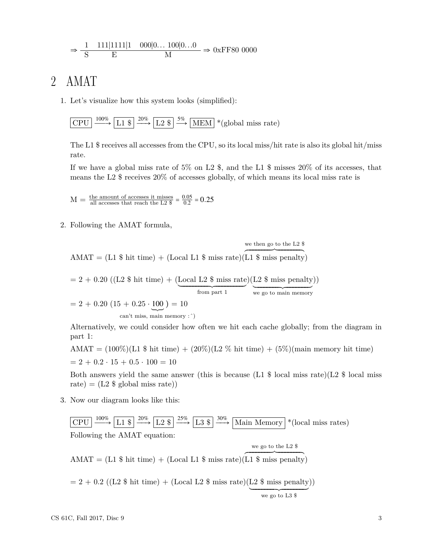$$
\Rightarrow \frac{1}{S} \frac{111|1111|1}{E} \frac{000|0...100|0...0}{M} \Rightarrow 0 \text{xFF80 0000}
$$

## 2 AMAT

1. Let's visualize how this system looks (simplified):

$$
\boxed{\text{CPU}} \xrightarrow{100\%} \boxed{\text{L1 \$}} \xrightarrow{20\%} \boxed{\text{L2 \$}} \xrightarrow{5\%} \boxed{\text{MEM}} * (\text{global miss rate})
$$

The L1 \$ receives all accesses from the CPU, so its local miss/hit rate is also its global hit/miss rate.

If we have a global miss rate of 5% on L2  $\$ , and the L1  $\$  misses 20% of its accesses, that means the L2 \$ receives 20% of accesses globally, of which means its local miss rate is

 $M = \frac{\text{the amount of accesses it misses}}{\text{all accesses that reach the L2 } $} = \frac{0.05}{0.2}$  $\frac{0.05}{0.2} = 0.25$ 

2. Following the AMAT formula,

we then go to the L2 \$

 $AMAT = (L1 \$ hit time) + (Local L1 \$ miss rate)$  $(L1 \$ miss panel$ 

 $= 2 + 0.20$  ((L2 \\$ hit time) + (Local L2 \\$ miss rate)(L2 \\$ miss penalty)) from part 1 we go to main memory  $= 2 + 0.20 (15 + 0.25 \cdot \underbrace{100}_{\text{can't miss main memory}}) = 10$ 

can't miss, main memory : ̂)

Alternatively, we could consider how often we hit each cache globally; from the diagram in part 1:

AMAT =  $(100\%)$ (L1 \\$ hit time) +  $(20\%)$ (L2 \% hit time) +  $(5\%)$ (main memory hit time)  $= 2 + 0.2 \cdot 15 + 0.5 \cdot 100 = 10$ 

Both answers yield the same answer (this is because  $(L1 \text{ $8]}$  local miss rate)(L2  $\text{ $8]}$  local miss rate) =  $(L2 \text{ $$ global miss rate})$ 

3. Now our diagram looks like this:

 $|$  CPU  $L1$  \$ ÐÐ→ L2 \$ 25% ÐÐ→ L3 \$ 30%  $\frac{30\%}{\sqrt{1-\frac{1}{1-\frac{1}{1-\frac{1}{1-\frac{1}{1-\frac{1}{1-\frac{1}{1-\frac{1}{1-\frac{1}{1-\frac{1}{1-\frac{1}{1-\frac{1}{1-\frac{1}{1-\frac{1}{1-\frac{1}{1-\frac{1}{1-\frac{1}{1-\frac{1}{1-\frac{1}{1-\frac{1}{1-\frac{1}{1-\frac{1}{1-\frac{1}{1-\frac{1}{1-\frac{1}{1-\frac{1}{1-\frac{1}{1-\frac{1}{1-\frac{1}{1-\frac{1}{1-\frac{1}{1-\frac{1}{1-\frac{1}{1-\frac{1}{1-\frac{1}{1-\frac{1$ Following the AMAT equation:  $AMAT = (L1 \$ hit time) + (Local L1 \$ miss rate)$  $(L1 \$ miss panel$ we go to the L2 \$  $= 2 + 0.2$  ((L2 \\$ hit time) + (Local L2 \\$ miss rate)(L2 \\$ miss penalty))

 $\overline{$  we go to L3 \$